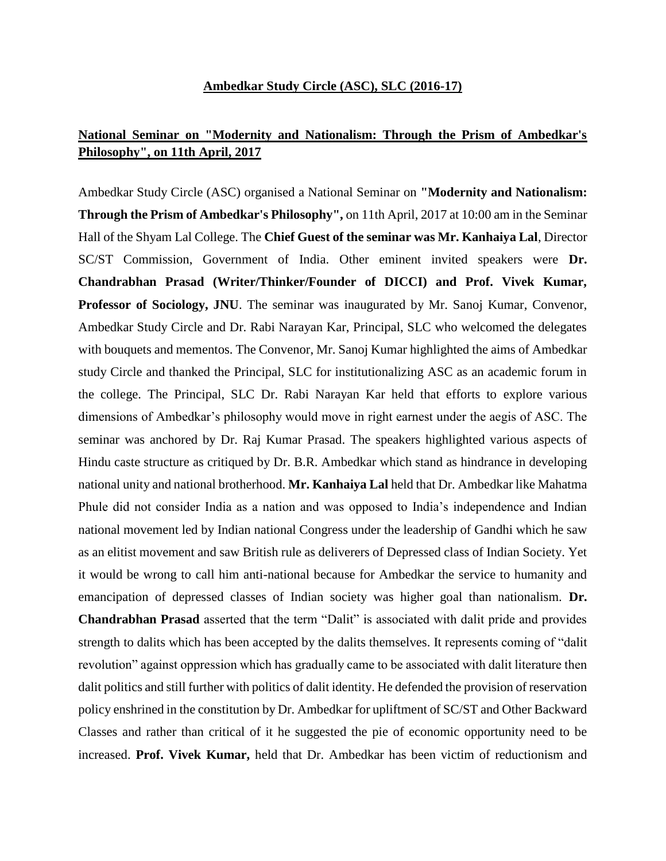## **Ambedkar Study Circle (ASC), SLC (2016-17)**

## **National Seminar on "Modernity and Nationalism: Through the Prism of Ambedkar's Philosophy", on 11th April, 2017**

Ambedkar Study Circle (ASC) organised a National Seminar on **"Modernity and Nationalism: Through the Prism of Ambedkar's Philosophy",** on 11th April, 2017 at 10:00 am in the Seminar Hall of the Shyam Lal College. The **Chief Guest of the seminar was Mr. Kanhaiya Lal**, Director SC/ST Commission, Government of India. Other eminent invited speakers were **Dr. Chandrabhan Prasad (Writer/Thinker/Founder of DICCI) and Prof. Vivek Kumar, Professor of Sociology, JNU**. The seminar was inaugurated by Mr. Sanoj Kumar, Convenor, Ambedkar Study Circle and Dr. Rabi Narayan Kar, Principal, SLC who welcomed the delegates with bouquets and mementos. The Convenor, Mr. Sanoj Kumar highlighted the aims of Ambedkar study Circle and thanked the Principal, SLC for institutionalizing ASC as an academic forum in the college. The Principal, SLC Dr. Rabi Narayan Kar held that efforts to explore various dimensions of Ambedkar's philosophy would move in right earnest under the aegis of ASC. The seminar was anchored by Dr. Raj Kumar Prasad. The speakers highlighted various aspects of Hindu caste structure as critiqued by Dr. B.R. Ambedkar which stand as hindrance in developing national unity and national brotherhood. **Mr. Kanhaiya Lal** held that Dr. Ambedkar like Mahatma Phule did not consider India as a nation and was opposed to India's independence and Indian national movement led by Indian national Congress under the leadership of Gandhi which he saw as an elitist movement and saw British rule as deliverers of Depressed class of Indian Society. Yet it would be wrong to call him anti-national because for Ambedkar the service to humanity and emancipation of depressed classes of Indian society was higher goal than nationalism. **Dr. Chandrabhan Prasad** asserted that the term "Dalit" is associated with dalit pride and provides strength to dalits which has been accepted by the dalits themselves. It represents coming of "dalit revolution" against oppression which has gradually came to be associated with dalit literature then dalit politics and still further with politics of dalit identity. He defended the provision of reservation policy enshrined in the constitution by Dr. Ambedkar for upliftment of SC/ST and Other Backward Classes and rather than critical of it he suggested the pie of economic opportunity need to be increased. **Prof. Vivek Kumar,** held that Dr. Ambedkar has been victim of reductionism and